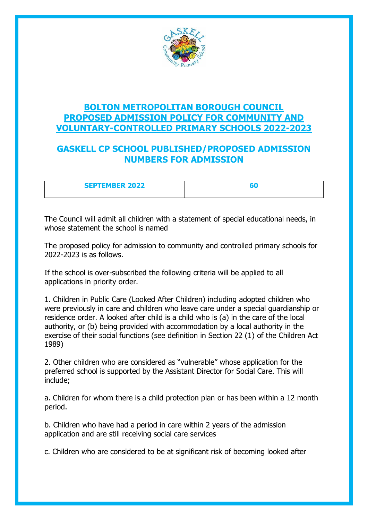

### **BOLTON METROPOLITAN BOROUGH COUNCIL PROPOSED ADMISSION POLICY FOR COMMUNITY AND VOLUNTARY-CONTROLLED PRIMARY SCHOOLS 2022-2023**

## **GASKELL CP SCHOOL PUBLISHED/PROPOSED ADMISSION NUMBERS FOR ADMISSION**

| <b>SEPTEMBER 2022</b> |  |
|-----------------------|--|
|                       |  |

The Council will admit all children with a statement of special educational needs, in whose statement the school is named

The proposed policy for admission to community and controlled primary schools for 2022-2023 is as follows.

If the school is over-subscribed the following criteria will be applied to all applications in priority order.

1. Children in Public Care (Looked After Children) including adopted children who were previously in care and children who leave care under a special guardianship or residence order. A looked after child is a child who is (a) in the care of the local authority, or (b) being provided with accommodation by a local authority in the exercise of their social functions (see definition in Section 22 (1) of the Children Act 1989)

2. Other children who are considered as "vulnerable" whose application for the preferred school is supported by the Assistant Director for Social Care. This will include;

a. Children for whom there is a child protection plan or has been within a 12 month period.

b. Children who have had a period in care within 2 years of the admission application and are still receiving social care services

c. Children who are considered to be at significant risk of becoming looked after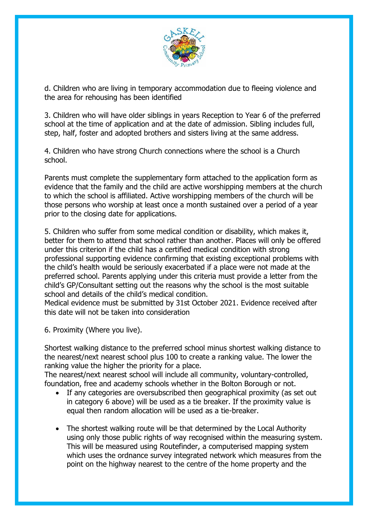

d. Children who are living in temporary accommodation due to fleeing violence and the area for rehousing has been identified

3. Children who will have older siblings in years Reception to Year 6 of the preferred school at the time of application and at the date of admission. Sibling includes full, step, half, foster and adopted brothers and sisters living at the same address.

4. Children who have strong Church connections where the school is a Church school.

Parents must complete the supplementary form attached to the application form as evidence that the family and the child are active worshipping members at the church to which the school is affiliated. Active worshipping members of the church will be those persons who worship at least once a month sustained over a period of a year prior to the closing date for applications.

5. Children who suffer from some medical condition or disability, which makes it, better for them to attend that school rather than another. Places will only be offered under this criterion if the child has a certified medical condition with strong professional supporting evidence confirming that existing exceptional problems with the child's health would be seriously exacerbated if a place were not made at the preferred school. Parents applying under this criteria must provide a letter from the child's GP/Consultant setting out the reasons why the school is the most suitable school and details of the child's medical condition.

Medical evidence must be submitted by 31st October 2021. Evidence received after this date will not be taken into consideration

6. Proximity (Where you live).

Shortest walking distance to the preferred school minus shortest walking distance to the nearest/next nearest school plus 100 to create a ranking value. The lower the ranking value the higher the priority for a place.

The nearest/next nearest school will include all community, voluntary-controlled, foundation, free and academy schools whether in the Bolton Borough or not.

- If any categories are oversubscribed then geographical proximity (as set out in category 6 above) will be used as a tie breaker. If the proximity value is equal then random allocation will be used as a tie-breaker.
- The shortest walking route will be that determined by the Local Authority using only those public rights of way recognised within the measuring system. This will be measured using Routefinder, a computerised mapping system which uses the ordnance survey integrated network which measures from the point on the highway nearest to the centre of the home property and the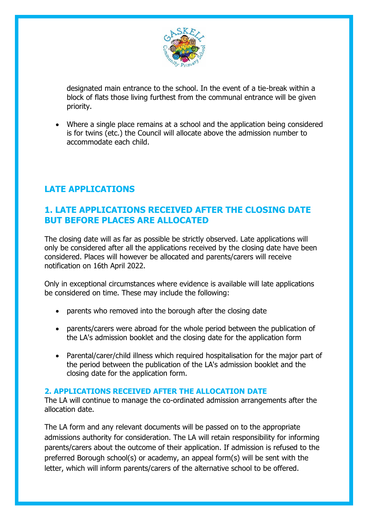

designated main entrance to the school. In the event of a tie-break within a block of flats those living furthest from the communal entrance will be given priority.

• Where a single place remains at a school and the application being considered is for twins (etc.) the Council will allocate above the admission number to accommodate each child.

# **LATE APPLICATIONS**

### **1. LATE APPLICATIONS RECEIVED AFTER THE CLOSING DATE BUT BEFORE PLACES ARE ALLOCATED**

The closing date will as far as possible be strictly observed. Late applications will only be considered after all the applications received by the closing date have been considered. Places will however be allocated and parents/carers will receive notification on 16th April 2022.

Only in exceptional circumstances where evidence is available will late applications be considered on time. These may include the following:

- parents who removed into the borough after the closing date
- parents/carers were abroad for the whole period between the publication of the LA's admission booklet and the closing date for the application form
- Parental/carer/child illness which required hospitalisation for the major part of the period between the publication of the LA's admission booklet and the closing date for the application form.

#### **2. APPLICATIONS RECEIVED AFTER THE ALLOCATION DATE**

The LA will continue to manage the co-ordinated admission arrangements after the allocation date.

The LA form and any relevant documents will be passed on to the appropriate admissions authority for consideration. The LA will retain responsibility for informing parents/carers about the outcome of their application. If admission is refused to the preferred Borough school(s) or academy, an appeal form(s) will be sent with the letter, which will inform parents/carers of the alternative school to be offered.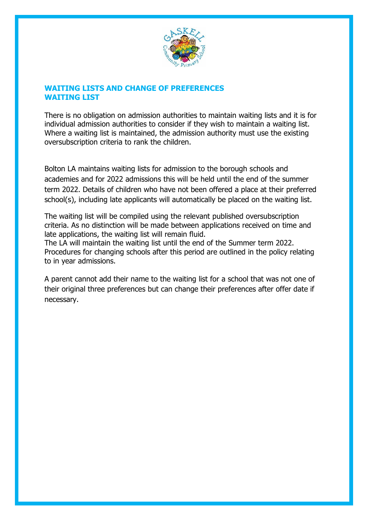

#### **WAITING LISTS AND CHANGE OF PREFERENCES WAITING LIST**

There is no obligation on admission authorities to maintain waiting lists and it is for individual admission authorities to consider if they wish to maintain a waiting list. Where a waiting list is maintained, the admission authority must use the existing oversubscription criteria to rank the children.

Bolton LA maintains waiting lists for admission to the borough schools and academies and for 2022 admissions this will be held until the end of the summer term 2022. Details of children who have not been offered a place at their preferred school(s), including late applicants will automatically be placed on the waiting list.

The waiting list will be compiled using the relevant published oversubscription criteria. As no distinction will be made between applications received on time and late applications, the waiting list will remain fluid.

The LA will maintain the waiting list until the end of the Summer term 2022. Procedures for changing schools after this period are outlined in the policy relating to in year admissions.

A parent cannot add their name to the waiting list for a school that was not one of their original three preferences but can change their preferences after offer date if necessary.